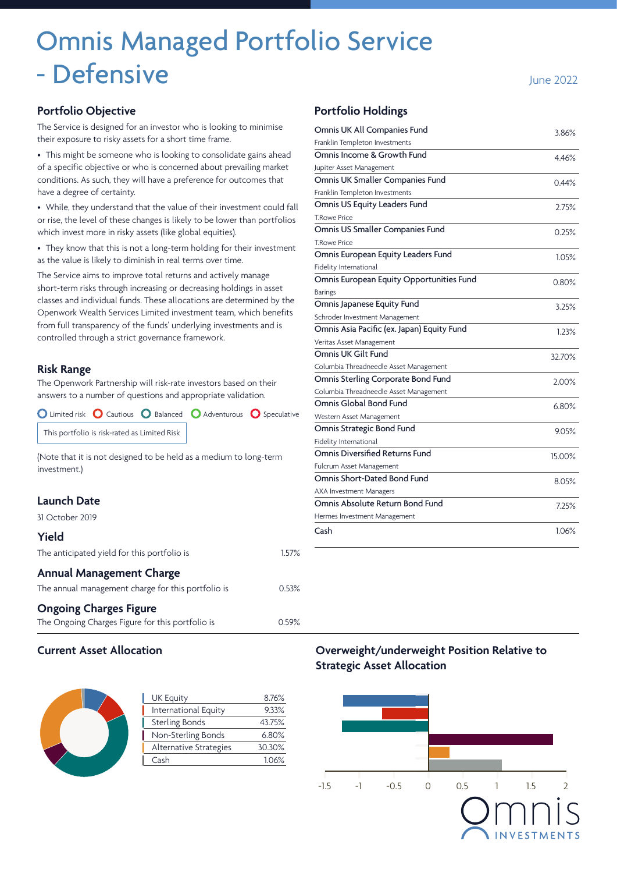# Omnis Managed Portfolio Service - Defensive June 2022

# **Portfolio Objective**

The Service is designed for an investor who is looking to minimise their exposure to risky assets for a short time frame.

• This might be someone who is looking to consolidate gains ahead of a specific objective or who is concerned about prevailing market conditions. As such, they will have a preference for outcomes that have a degree of certainty.

• While, they understand that the value of their investment could fall or rise, the level of these changes is likely to be lower than portfolios which invest more in risky assets (like global equities).

• They know that this is not a long-term holding for their investment as the value is likely to diminish in real terms over time.

The Service aims to improve total returns and actively manage short-term risks through increasing or decreasing holdings in asset classes and individual funds. These allocations are determined by the Openwork Wealth Services Limited investment team, which benefits from full transparency of the funds' underlying investments and is controlled through a strict governance framework.

#### **Risk Range**

The Openwork Partnership will risk-rate investors based on their answers to a number of questions and appropriate validation.

O Limited risk O Cautious O Balanced O Adventurous O Speculative This portfolio is risk-rated as Limited Risk

(Note that it is not designed to be held as a medium to long-term investment.)

# **Launch Date**

31 October 2019

| Yield                                              |       |
|----------------------------------------------------|-------|
| The anticipated yield for this portfolio is        | 1.57% |
| <b>Annual Management Charge</b>                    |       |
| The annual management charge for this portfolio is | 0.53% |
| <b>Ongoing Charges Figure</b>                      |       |
| The Ongoing Charges Figure for this portfolio is   | 0.59% |

#### **Portfolio Holdings**

| Omnis UK All Companies Fund                | 3.86%  |
|--------------------------------------------|--------|
| Franklin Templeton Investments             |        |
| Omnis Income & Growth Fund                 | 4.46%  |
| Jupiter Asset Management                   |        |
| Omnis UK Smaller Companies Fund            | 0.44%  |
| Franklin Templeton Investments             |        |
| Omnis US Equity Leaders Fund               | 2.75%  |
| <b>T.Rowe Price</b>                        |        |
| Omnis US Smaller Companies Fund            | 0.25%  |
| <b>T.Rowe Price</b>                        |        |
| Omnis European Equity Leaders Fund         | 1.05%  |
| Fidelity International                     |        |
| Omnis European Equity Opportunities Fund   | 0.80%  |
| Barings                                    |        |
| Omnis Japanese Equity Fund                 | 3.25%  |
| Schroder Investment Management             |        |
| Omnis Asia Pacific (ex. Japan) Equity Fund | 1.23%  |
| Veritas Asset Management                   |        |
| Omnis UK Gilt Fund                         | 32.70% |
| Columbia Threadneedle Asset Management     |        |
| Omnis Sterling Corporate Bond Fund         | 2.00%  |
| Columbia Threadneedle Asset Management     |        |
| Omnis Global Bond Fund                     | 6.80%  |
| Western Asset Management                   |        |
| Omnis Strategic Bond Fund                  | 9.05%  |
| Fidelity International                     |        |
| Omnis Diversified Returns Fund             | 15.00% |
| Fulcrum Asset Management                   |        |
| Omnis Short-Dated Bond Fund                | 8.05%  |
| AXA Investment Managers                    |        |
| Omnis Absolute Return Bond Fund            | 7.25%  |
| Hermes Investment Management               |        |
| Cash                                       | 1.06%  |

#### **Current Asset Allocation**

| <b>UK Equity</b>       | 8.76%  |
|------------------------|--------|
| International Equity   | 9.33%  |
| <b>Sterling Bonds</b>  | 43.75% |
| Non-Sterling Bonds     | 6.80%  |
| Alternative Strategies | 30.30% |
| Cash                   | 1.06%  |
|                        |        |

# **Overweight/underweight Position Relative to Strategic Asset Allocation**